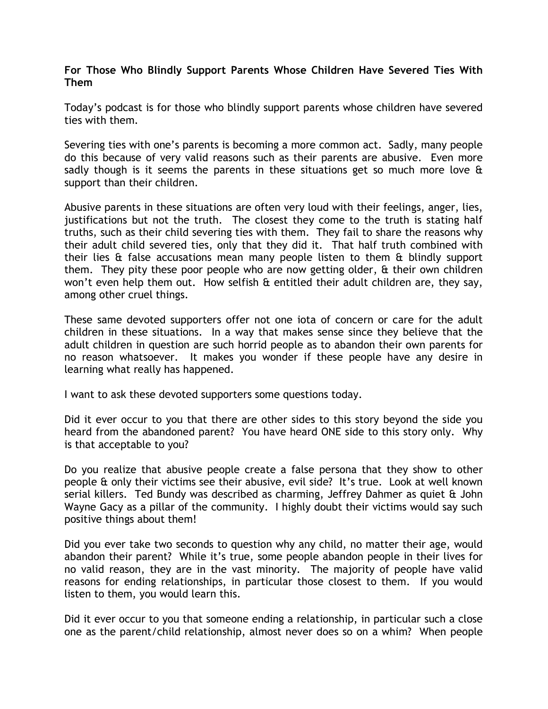## For Those Who Blindly Support Parents Whose Children Have Severed Ties With Them

Today's podcast is for those who blindly support parents whose children have severed ties with them.

Severing ties with one's parents is becoming a more common act. Sadly, many people do this because of very valid reasons such as their parents are abusive. Even more sadly though is it seems the parents in these situations get so much more love & support than their children.

Abusive parents in these situations are often very loud with their feelings, anger, lies, justifications but not the truth. The closest they come to the truth is stating half truths, such as their child severing ties with them. They fail to share the reasons why their adult child severed ties, only that they did it. That half truth combined with their lies & false accusations mean many people listen to them & blindly support them. They pity these poor people who are now getting older, & their own children won't even help them out. How selfish & entitled their adult children are, they say, among other cruel things.

These same devoted supporters offer not one iota of concern or care for the adult children in these situations. In a way that makes sense since they believe that the adult children in question are such horrid people as to abandon their own parents for no reason whatsoever. It makes you wonder if these people have any desire in learning what really has happened.

I want to ask these devoted supporters some questions today.

Did it ever occur to you that there are other sides to this story beyond the side you heard from the abandoned parent? You have heard ONE side to this story only. Why is that acceptable to you?

Do you realize that abusive people create a false persona that they show to other people & only their victims see their abusive, evil side? It's true. Look at well known serial killers. Ted Bundy was described as charming, Jeffrey Dahmer as quiet & John Wayne Gacy as a pillar of the community. I highly doubt their victims would say such positive things about them!

Did you ever take two seconds to question why any child, no matter their age, would abandon their parent? While it's true, some people abandon people in their lives for no valid reason, they are in the vast minority. The majority of people have valid reasons for ending relationships, in particular those closest to them. If you would listen to them, you would learn this.

Did it ever occur to you that someone ending a relationship, in particular such a close one as the parent/child relationship, almost never does so on a whim? When people